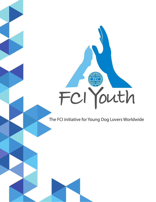# FCI Youth

The FCI initiative for Young Dog Lovers Worldwide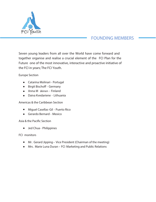

### FOUNDING MEMBERS

*Seven young leaders from all over the World have come forward and together organise and realise a crucial element of the FCI Plan for the Future one of the most innovative, interactive and proactive initiative of the FCI in years; The FCI Youth.* 

*Europe Section*

- *Catarina Molinari - Portugal*
- *Birgit Bischo - Germany*
- *Anna M äkinen - Finland*
- *Daiva Kvedariene - Lithuania*

*Americas & the Caribbean Section*

- *Miguel Casellas-Gil - Puerto Rico*
- *Gerardo Bernard - Mexico*

Asia & the Pacific Section

*Jed Chua - Philippines* 

*FCI monitors*

- *Mr. Gerard Jipping– Vice President (Chairman of the meeting)*
- *Mrs. Marie Luna Duran – FCI Marketing and Public Relations*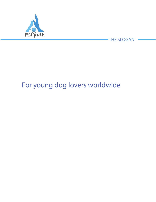

THE SLOGAN

# *For young dog lovers worldwide*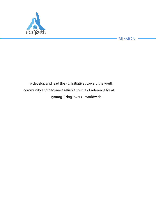

### MISSION

## *To develop and lead the FCI initiatives toward the youth community and become a reliable source of reference for all (young ) dog lovers worldwide .*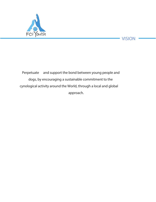



*Perpetuate and support the bond between young people and dogs, by encouraging a sustainable commitment to the cynological activity around the World, through a local and global approach.*